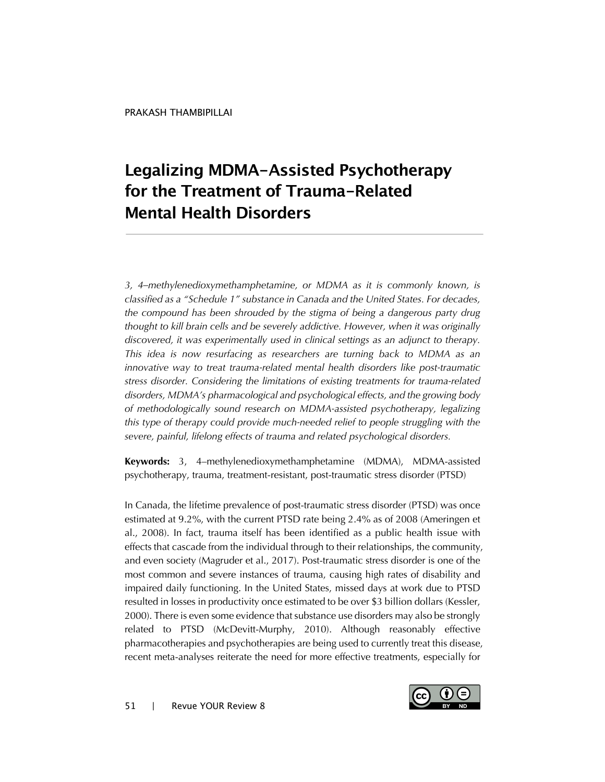# **Legalizing MDMA-Assisted Psychotherapy for the Treatment of Trauma-Related Mental Health Disorders**

*3, 4–methylenedioxymethamphetamine, or MDMA as it is commonly known, is classified as a "Schedule 1" substance in Canada and the United States. For decades, the compound has been shrouded by the stigma of being a dangerous party drug thought to kill brain cells and be severely addictive. However, when it was originally discovered, it was experimentally used in clinical settings as an adjunct to therapy. This idea is now resurfacing as researchers are turning back to MDMA as an innovative way to treat trauma-related mental health disorders like post-traumatic stress disorder. Considering the limitations of existing treatments for trauma-related disorders, MDMA's pharmacological and psychological effects, and the growing body of methodologically sound research on MDMA-assisted psychotherapy, legalizing this type of therapy could provide much-needed relief to people struggling with the severe, painful, lifelong effects of trauma and related psychological disorders.*

**Keywords:** 3, 4–methylenedioxymethamphetamine (MDMA), MDMA-assisted psychotherapy, trauma, treatment-resistant, post-traumatic stress disorder (PTSD)

In Canada, the lifetime prevalence of post-traumatic stress disorder (PTSD) was once estimated at 9.2%, with the current PTSD rate being 2.4% as of 2008 (Ameringen et al., 2008). In fact, trauma itself has been identified as a public health issue with effects that cascade from the individual through to their relationships, the community, and even society (Magruder et al., 2017). Post-traumatic stress disorder is one of the most common and severe instances of trauma, causing high rates of disability and impaired daily functioning. In the United States, missed days at work due to PTSD resulted in losses in productivity once estimated to be over \$3 billion dollars (Kessler, 2000). There is even some evidence that substance use disorders may also be strongly related to PTSD (McDevitt-Murphy, 2010). Although reasonably effective pharmacotherapies and psychotherapies are being used to currently treat this disease, recent meta-analyses reiterate the need for more effective treatments, especially for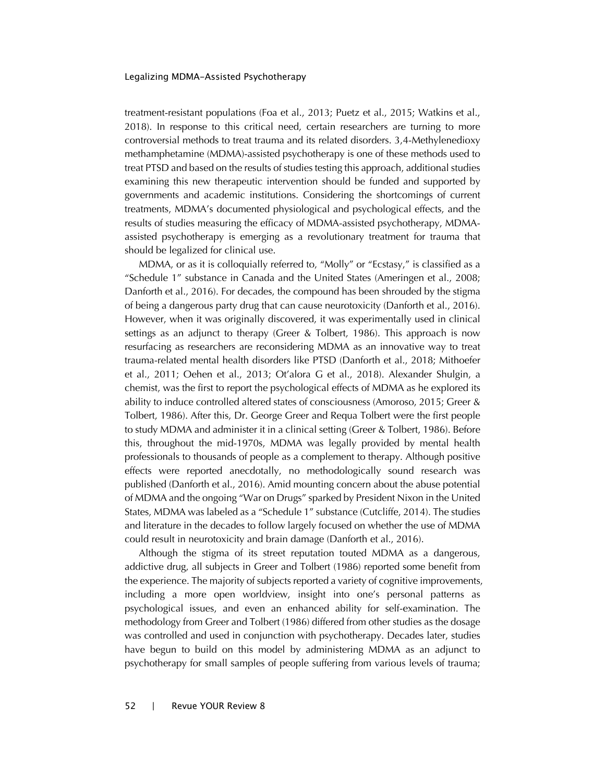treatment-resistant populations (Foa et al., 2013; Puetz et al., 2015; Watkins et al., 2018). In response to this critical need, certain researchers are turning to more controversial methods to treat trauma and its related disorders. 3,4-Methylenedioxy methamphetamine (MDMA)-assisted psychotherapy is one of these methods used to treat PTSD and based on the results of studies testing this approach, additional studies examining this new therapeutic intervention should be funded and supported by governments and academic institutions. Considering the shortcomings of current treatments, MDMA's documented physiological and psychological effects, and the results of studies measuring the efficacy of MDMA-assisted psychotherapy, MDMAassisted psychotherapy is emerging as a revolutionary treatment for trauma that should be legalized for clinical use.

MDMA, or as it is colloquially referred to, "Molly" or "Ecstasy," is classified as a "Schedule 1" substance in Canada and the United States (Ameringen et al., 2008; Danforth et al., 2016). For decades, the compound has been shrouded by the stigma of being a dangerous party drug that can cause neurotoxicity (Danforth et al., 2016). However, when it was originally discovered, it was experimentally used in clinical settings as an adjunct to therapy (Greer & Tolbert, 1986). This approach is now resurfacing as researchers are reconsidering MDMA as an innovative way to treat trauma-related mental health disorders like PTSD (Danforth et al., 2018; Mithoefer et al., 2011; Oehen et al., 2013; Ot'alora G et al., 2018). Alexander Shulgin, a chemist, was the first to report the psychological effects of MDMA as he explored its ability to induce controlled altered states of consciousness (Amoroso, 2015; Greer & Tolbert, 1986). After this, Dr. George Greer and Requa Tolbert were the first people to study MDMA and administer it in a clinical setting (Greer & Tolbert, 1986). Before this, throughout the mid-1970s, MDMA was legally provided by mental health professionals to thousands of people as a complement to therapy. Although positive effects were reported anecdotally, no methodologically sound research was published (Danforth et al., 2016). Amid mounting concern about the abuse potential of MDMA and the ongoing "War on Drugs" sparked by President Nixon in the United States, MDMA was labeled as a "Schedule 1" substance (Cutcliffe, 2014). The studies and literature in the decades to follow largely focused on whether the use of MDMA could result in neurotoxicity and brain damage (Danforth et al., 2016).

Although the stigma of its street reputation touted MDMA as a dangerous, addictive drug, all subjects in Greer and Tolbert (1986) reported some benefit from the experience. The majority of subjects reported a variety of cognitive improvements, including a more open worldview, insight into one's personal patterns as psychological issues, and even an enhanced ability for self-examination. The methodology from Greer and Tolbert (1986) differed from other studies as the dosage was controlled and used in conjunction with psychotherapy. Decades later, studies have begun to build on this model by administering MDMA as an adjunct to psychotherapy for small samples of people suffering from various levels of trauma;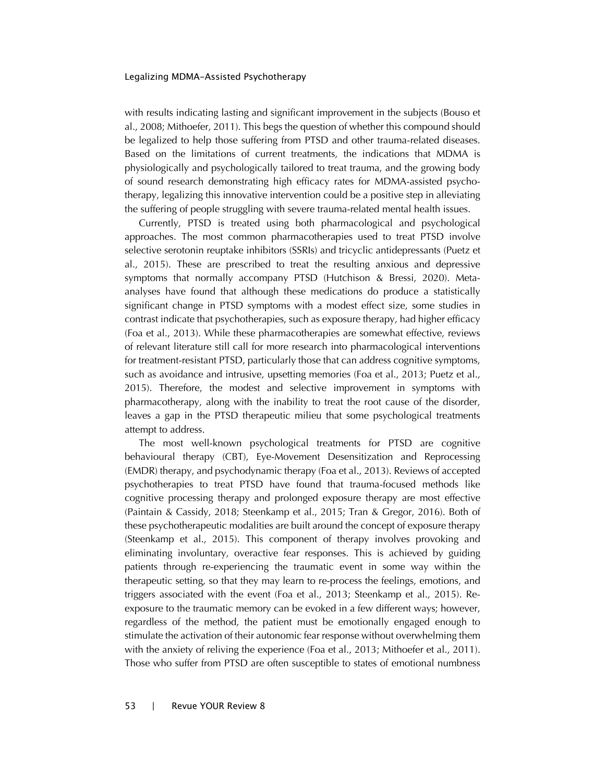with results indicating lasting and significant improvement in the subjects (Bouso et al., 2008; Mithoefer, 2011). This begs the question of whether this compound should be legalized to help those suffering from PTSD and other trauma-related diseases. Based on the limitations of current treatments, the indications that MDMA is physiologically and psychologically tailored to treat trauma, and the growing body of sound research demonstrating high efficacy rates for MDMA-assisted psychotherapy, legalizing this innovative intervention could be a positive step in alleviating the suffering of people struggling with severe trauma-related mental health issues.

Currently, PTSD is treated using both pharmacological and psychological approaches. The most common pharmacotherapies used to treat PTSD involve selective serotonin reuptake inhibitors (SSRIs) and tricyclic antidepressants (Puetz et al., 2015). These are prescribed to treat the resulting anxious and depressive symptoms that normally accompany PTSD (Hutchison & Bressi, 2020). Metaanalyses have found that although these medications do produce a statistically significant change in PTSD symptoms with a modest effect size, some studies in contrast indicate that psychotherapies, such as exposure therapy, had higher efficacy (Foa et al., 2013). While these pharmacotherapies are somewhat effective, reviews of relevant literature still call for more research into pharmacological interventions for treatment-resistant PTSD, particularly those that can address cognitive symptoms, such as avoidance and intrusive, upsetting memories (Foa et al., 2013; Puetz et al., 2015). Therefore, the modest and selective improvement in symptoms with pharmacotherapy, along with the inability to treat the root cause of the disorder, leaves a gap in the PTSD therapeutic milieu that some psychological treatments attempt to address.

The most well-known psychological treatments for PTSD are cognitive behavioural therapy (CBT), Eye-Movement Desensitization and Reprocessing (EMDR) therapy, and psychodynamic therapy (Foa et al., 2013). Reviews of accepted psychotherapies to treat PTSD have found that trauma-focused methods like cognitive processing therapy and prolonged exposure therapy are most effective (Paintain & Cassidy, 2018; Steenkamp et al., 2015; Tran & Gregor, 2016). Both of these psychotherapeutic modalities are built around the concept of exposure therapy (Steenkamp et al., 2015). This component of therapy involves provoking and eliminating involuntary, overactive fear responses. This is achieved by guiding patients through re-experiencing the traumatic event in some way within the therapeutic setting, so that they may learn to re-process the feelings, emotions, and triggers associated with the event (Foa et al., 2013; Steenkamp et al., 2015). Reexposure to the traumatic memory can be evoked in a few different ways; however, regardless of the method, the patient must be emotionally engaged enough to stimulate the activation of their autonomic fear response without overwhelming them with the anxiety of reliving the experience (Foa et al., 2013; Mithoefer et al., 2011). Those who suffer from PTSD are often susceptible to states of emotional numbness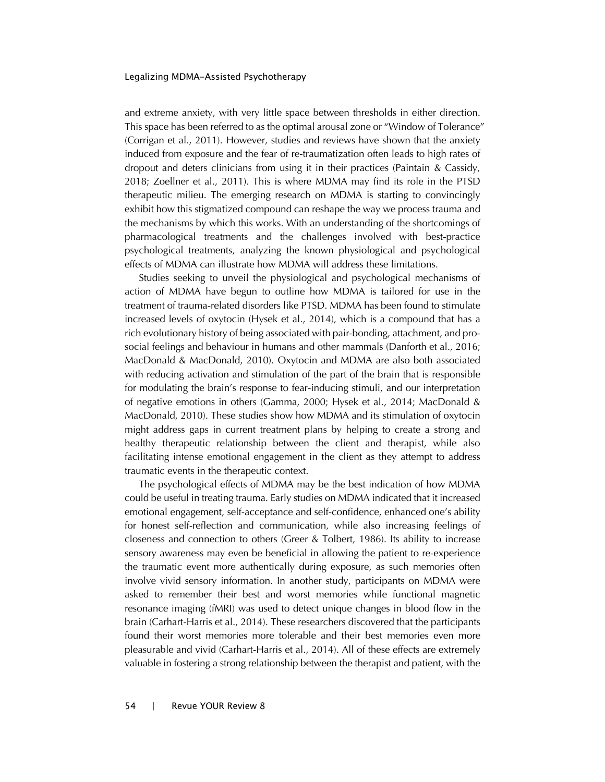and extreme anxiety, with very little space between thresholds in either direction. This space has been referred to as the optimal arousal zone or "Window of Tolerance" (Corrigan et al., 2011). However, studies and reviews have shown that the anxiety induced from exposure and the fear of re-traumatization often leads to high rates of dropout and deters clinicians from using it in their practices (Paintain & Cassidy, 2018; Zoellner et al., 2011). This is where MDMA may find its role in the PTSD therapeutic milieu. The emerging research on MDMA is starting to convincingly exhibit how this stigmatized compound can reshape the way we process trauma and the mechanisms by which this works. With an understanding of the shortcomings of pharmacological treatments and the challenges involved with best-practice psychological treatments, analyzing the known physiological and psychological effects of MDMA can illustrate how MDMA will address these limitations.

Studies seeking to unveil the physiological and psychological mechanisms of action of MDMA have begun to outline how MDMA is tailored for use in the treatment of trauma-related disorders like PTSD. MDMA has been found to stimulate increased levels of oxytocin (Hysek et al., 2014), which is a compound that has a rich evolutionary history of being associated with pair-bonding, attachment, and prosocial feelings and behaviour in humans and other mammals (Danforth et al., 2016; MacDonald & MacDonald, 2010). Oxytocin and MDMA are also both associated with reducing activation and stimulation of the part of the brain that is responsible for modulating the brain's response to fear-inducing stimuli, and our interpretation of negative emotions in others (Gamma, 2000; Hysek et al., 2014; MacDonald & MacDonald, 2010). These studies show how MDMA and its stimulation of oxytocin might address gaps in current treatment plans by helping to create a strong and healthy therapeutic relationship between the client and therapist, while also facilitating intense emotional engagement in the client as they attempt to address traumatic events in the therapeutic context.

The psychological effects of MDMA may be the best indication of how MDMA could be useful in treating trauma. Early studies on MDMA indicated that it increased emotional engagement, self-acceptance and self-confidence, enhanced one's ability for honest self-reflection and communication, while also increasing feelings of closeness and connection to others (Greer & Tolbert, 1986). Its ability to increase sensory awareness may even be beneficial in allowing the patient to re-experience the traumatic event more authentically during exposure, as such memories often involve vivid sensory information. In another study, participants on MDMA were asked to remember their best and worst memories while functional magnetic resonance imaging (fMRI) was used to detect unique changes in blood flow in the brain (Carhart-Harris et al., 2014). These researchers discovered that the participants found their worst memories more tolerable and their best memories even more pleasurable and vivid (Carhart-Harris et al., 2014). All of these effects are extremely valuable in fostering a strong relationship between the therapist and patient, with the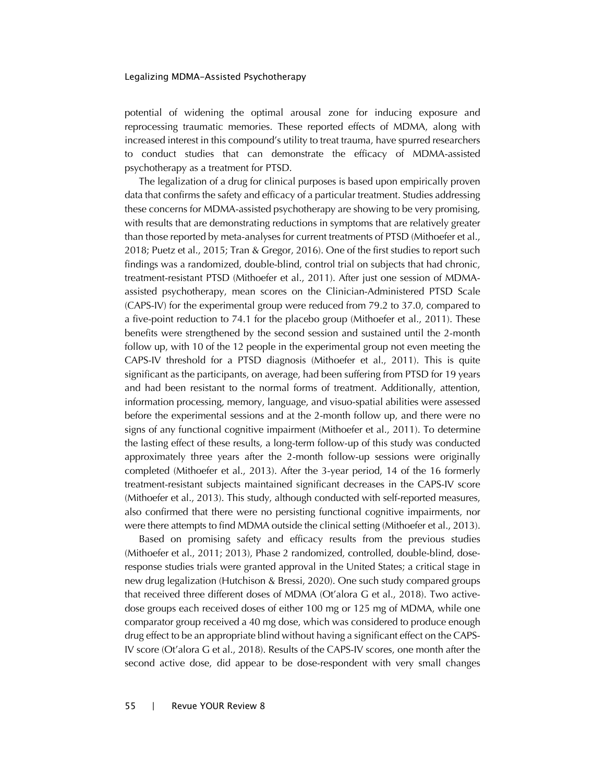potential of widening the optimal arousal zone for inducing exposure and reprocessing traumatic memories. These reported effects of MDMA, along with increased interest in this compound's utility to treat trauma, have spurred researchers to conduct studies that can demonstrate the efficacy of MDMA-assisted psychotherapy as a treatment for PTSD.

The legalization of a drug for clinical purposes is based upon empirically proven data that confirms the safety and efficacy of a particular treatment. Studies addressing these concerns for MDMA-assisted psychotherapy are showing to be very promising, with results that are demonstrating reductions in symptoms that are relatively greater than those reported by meta-analyses for current treatments of PTSD (Mithoefer et al., 2018; Puetz et al., 2015; Tran & Gregor, 2016). One of the first studies to report such findings was a randomized, double-blind, control trial on subjects that had chronic, treatment-resistant PTSD (Mithoefer et al., 2011). After just one session of MDMAassisted psychotherapy, mean scores on the Clinician-Administered PTSD Scale (CAPS-IV) for the experimental group were reduced from 79.2 to 37.0, compared to a five-point reduction to 74.1 for the placebo group (Mithoefer et al., 2011). These benefits were strengthened by the second session and sustained until the 2-month follow up, with 10 of the 12 people in the experimental group not even meeting the CAPS-IV threshold for a PTSD diagnosis (Mithoefer et al., 2011). This is quite significant as the participants, on average, had been suffering from PTSD for 19 years and had been resistant to the normal forms of treatment. Additionally, attention, information processing, memory, language, and visuo-spatial abilities were assessed before the experimental sessions and at the 2-month follow up, and there were no signs of any functional cognitive impairment (Mithoefer et al., 2011). To determine the lasting effect of these results, a long-term follow-up of this study was conducted approximately three years after the 2-month follow-up sessions were originally completed (Mithoefer et al., 2013). After the 3-year period, 14 of the 16 formerly treatment-resistant subjects maintained significant decreases in the CAPS-IV score (Mithoefer et al., 2013). This study, although conducted with self-reported measures, also confirmed that there were no persisting functional cognitive impairments, nor were there attempts to find MDMA outside the clinical setting (Mithoefer et al., 2013).

Based on promising safety and efficacy results from the previous studies (Mithoefer et al., 2011; 2013), Phase 2 randomized, controlled, double-blind, doseresponse studies trials were granted approval in the United States; a critical stage in new drug legalization (Hutchison & Bressi, 2020). One such study compared groups that received three different doses of MDMA (Ot'alora G et al., 2018). Two activedose groups each received doses of either 100 mg or 125 mg of MDMA, while one comparator group received a 40 mg dose, which was considered to produce enough drug effect to be an appropriate blind without having a significant effect on the CAPS-IV score (Ot'alora G et al., 2018). Results of the CAPS-IV scores, one month after the second active dose, did appear to be dose-respondent with very small changes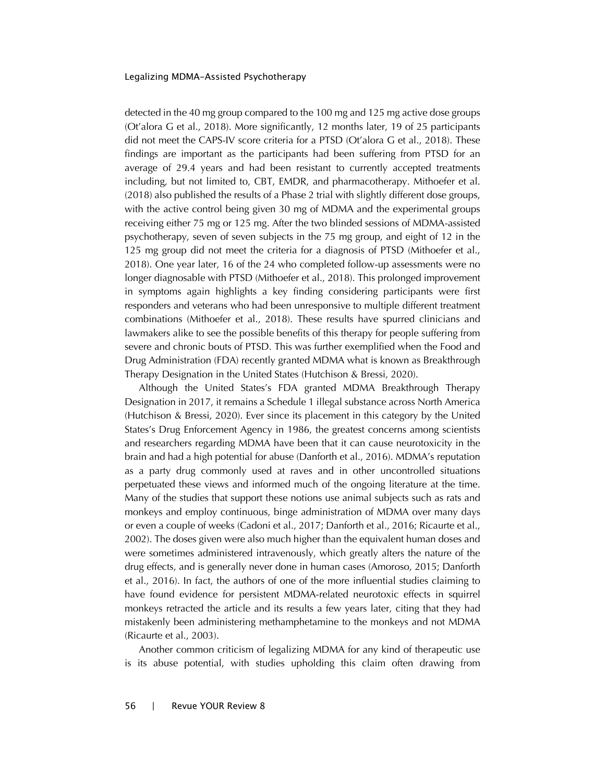detected in the 40 mg group compared to the 100 mg and 125 mg active dose groups (Ot'alora G et al., 2018). More significantly, 12 months later, 19 of 25 participants did not meet the CAPS-IV score criteria for a PTSD (Ot'alora G et al., 2018). These findings are important as the participants had been suffering from PTSD for an average of 29.4 years and had been resistant to currently accepted treatments including, but not limited to, CBT, EMDR, and pharmacotherapy. Mithoefer et al. (2018) also published the results of a Phase 2 trial with slightly different dose groups, with the active control being given 30 mg of MDMA and the experimental groups receiving either 75 mg or 125 mg. After the two blinded sessions of MDMA-assisted psychotherapy, seven of seven subjects in the 75 mg group, and eight of 12 in the 125 mg group did not meet the criteria for a diagnosis of PTSD (Mithoefer et al., 2018). One year later, 16 of the 24 who completed follow-up assessments were no longer diagnosable with PTSD (Mithoefer et al., 2018). This prolonged improvement in symptoms again highlights a key finding considering participants were first responders and veterans who had been unresponsive to multiple different treatment combinations (Mithoefer et al., 2018). These results have spurred clinicians and lawmakers alike to see the possible benefits of this therapy for people suffering from severe and chronic bouts of PTSD. This was further exemplified when the Food and Drug Administration (FDA) recently granted MDMA what is known as Breakthrough Therapy Designation in the United States (Hutchison & Bressi, 2020).

Although the United States's FDA granted MDMA Breakthrough Therapy Designation in 2017, it remains a Schedule 1 illegal substance across North America (Hutchison & Bressi, 2020). Ever since its placement in this category by the United States's Drug Enforcement Agency in 1986, the greatest concerns among scientists and researchers regarding MDMA have been that it can cause neurotoxicity in the brain and had a high potential for abuse (Danforth et al., 2016). MDMA's reputation as a party drug commonly used at raves and in other uncontrolled situations perpetuated these views and informed much of the ongoing literature at the time. Many of the studies that support these notions use animal subjects such as rats and monkeys and employ continuous, binge administration of MDMA over many days or even a couple of weeks (Cadoni et al., 2017; Danforth et al., 2016; Ricaurte et al., 2002). The doses given were also much higher than the equivalent human doses and were sometimes administered intravenously, which greatly alters the nature of the drug effects, and is generally never done in human cases (Amoroso, 2015; Danforth et al., 2016). In fact, the authors of one of the more influential studies claiming to have found evidence for persistent MDMA-related neurotoxic effects in squirrel monkeys retracted the article and its results a few years later, citing that they had mistakenly been administering methamphetamine to the monkeys and not MDMA (Ricaurte et al., 2003).

Another common criticism of legalizing MDMA for any kind of therapeutic use is its abuse potential, with studies upholding this claim often drawing from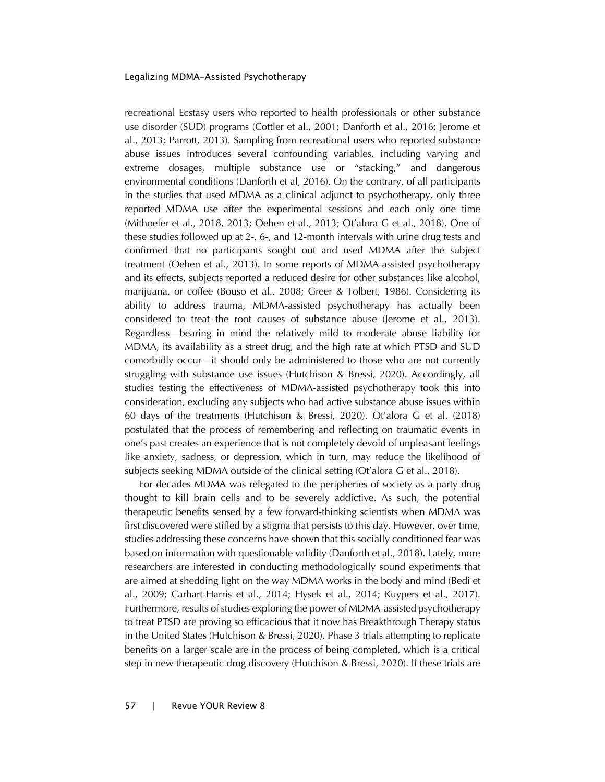recreational Ecstasy users who reported to health professionals or other substance use disorder (SUD) programs (Cottler et al., 2001; Danforth et al., 2016; Jerome et al., 2013; Parrott, 2013). Sampling from recreational users who reported substance abuse issues introduces several confounding variables, including varying and extreme dosages, multiple substance use or "stacking," and dangerous environmental conditions (Danforth et al, 2016). On the contrary, of all participants in the studies that used MDMA as a clinical adjunct to psychotherapy, only three reported MDMA use after the experimental sessions and each only one time (Mithoefer et al., 2018, 2013; Oehen et al., 2013; Ot'alora G et al., 2018). One of these studies followed up at 2-, 6-, and 12-month intervals with urine drug tests and confirmed that no participants sought out and used MDMA after the subject treatment (Oehen et al., 2013). In some reports of MDMA-assisted psychotherapy and its effects, subjects reported a reduced desire for other substances like alcohol, marijuana, or coffee (Bouso et al., 2008; Greer & Tolbert, 1986). Considering its ability to address trauma, MDMA-assisted psychotherapy has actually been considered to treat the root causes of substance abuse (Jerome et al., 2013). Regardless—bearing in mind the relatively mild to moderate abuse liability for MDMA, its availability as a street drug, and the high rate at which PTSD and SUD comorbidly occur—it should only be administered to those who are not currently struggling with substance use issues (Hutchison & Bressi, 2020). Accordingly, all studies testing the effectiveness of MDMA-assisted psychotherapy took this into consideration, excluding any subjects who had active substance abuse issues within 60 days of the treatments (Hutchison & Bressi, 2020). Ot'alora G et al. (2018) postulated that the process of remembering and reflecting on traumatic events in one's past creates an experience that is not completely devoid of unpleasant feelings like anxiety, sadness, or depression, which in turn, may reduce the likelihood of subjects seeking MDMA outside of the clinical setting (Ot'alora G et al., 2018).

For decades MDMA was relegated to the peripheries of society as a party drug thought to kill brain cells and to be severely addictive. As such, the potential therapeutic benefits sensed by a few forward-thinking scientists when MDMA was first discovered were stifled by a stigma that persists to this day. However, over time, studies addressing these concerns have shown that this socially conditioned fear was based on information with questionable validity (Danforth et al., 2018). Lately, more researchers are interested in conducting methodologically sound experiments that are aimed at shedding light on the way MDMA works in the body and mind (Bedi et al., 2009; Carhart-Harris et al., 2014; Hysek et al., 2014; Kuypers et al., 2017). Furthermore, results of studies exploring the power of MDMA-assisted psychotherapy to treat PTSD are proving so efficacious that it now has Breakthrough Therapy status in the United States (Hutchison & Bressi, 2020). Phase 3 trials attempting to replicate benefits on a larger scale are in the process of being completed, which is a critical step in new therapeutic drug discovery (Hutchison & Bressi, 2020). If these trials are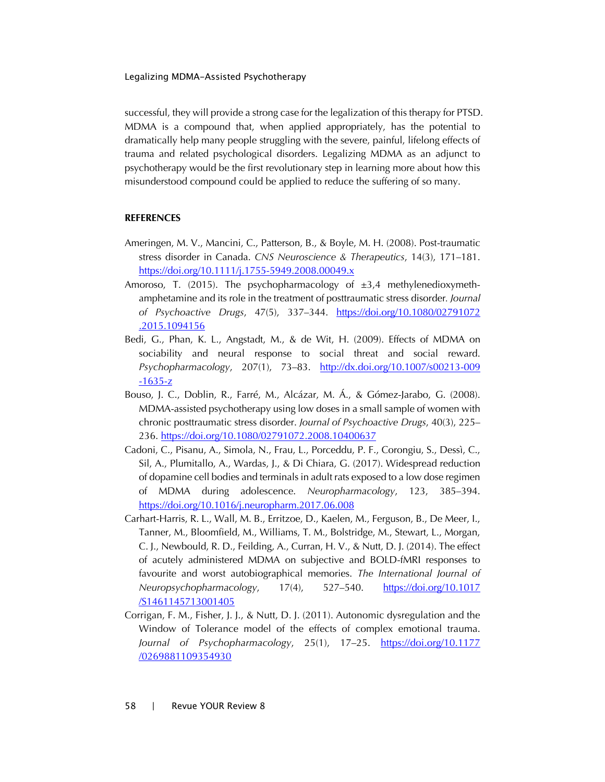successful, they will provide a strong case for the legalization of this therapy for PTSD. MDMA is a compound that, when applied appropriately, has the potential to dramatically help many people struggling with the severe, painful, lifelong effects of trauma and related psychological disorders. Legalizing MDMA as an adjunct to psychotherapy would be the first revolutionary step in learning more about how this misunderstood compound could be applied to reduce the suffering of so many.

## **REFERENCES**

- Ameringen, M. V., Mancini, C., Patterson, B., & Boyle, M. H. (2008). Post-traumatic stress disorder in Canada. *CNS Neuroscience & Therapeutics*, 14(3), 171–181. <https://doi.org/10.1111/j.1755-5949.2008.00049.x>
- Amoroso, T. (2015). The psychopharmacology of  $\pm 3.4$  methylenedioxymethamphetamine and its role in the treatment of posttraumatic stress disorder*. Journal of Psychoactive Drugs*, 47(5), 337–344. [https://doi.org/10.1080/02791072](https://doi.org/10.1080/02791072.2015.1094156) [.2015.1094156](https://doi.org/10.1080/02791072.2015.1094156)
- Bedi, G., Phan, K. L., Angstadt, M., & de Wit, H. (2009). Effects of MDMA on sociability and neural response to social threat and social reward. *Psychopharmacology*, 207(1), 73–83. [http://dx.doi.org/10.1007/s00213-009](http://dx.doi.org/10.1007/s00213-009-1635-z) [-1635-z](http://dx.doi.org/10.1007/s00213-009-1635-z)
- Bouso, J. C., Doblin, R., Farré, M., Alcázar, M. Á., & Gómez-Jarabo, G. (2008). MDMA-assisted psychotherapy using low doses in a small sample of women with chronic posttraumatic stress disorder. *Journal of Psychoactive Drugs*, 40(3), 225– 236.<https://doi.org/10.1080/02791072.2008.10400637>
- Cadoni, C., Pisanu, A., Simola, N., Frau, L., Porceddu, P. F., Corongiu, S., Dessì, C., Sil, A., Plumitallo, A., Wardas, J., & Di Chiara, G. (2017). Widespread reduction of dopamine cell bodies and terminals in adult rats exposed to a low dose regimen of MDMA during adolescence. *Neuropharmacology*, 123, 385–394. <https://doi.org/10.1016/j.neuropharm.2017.06.008>
- Carhart-Harris, R. L., Wall, M. B., Erritzoe, D., Kaelen, M., Ferguson, B., De Meer, I., Tanner, M., Bloomfield, M., Williams, T. M., Bolstridge, M., Stewart, L., Morgan, C. J., Newbould, R. D., Feilding, A., Curran, H. V., & Nutt, D. J. (2014). The effect of acutely administered MDMA on subjective and BOLD-fMRI responses to favourite and worst autobiographical memories. *The International Journal of Neuropsychopharmacology*, 17(4), 527–540. [https://doi.org/10.1017](https://academic.oup.com/ijnp/article/17/4/527/644594) [/S1461145713001405](https://academic.oup.com/ijnp/article/17/4/527/644594)
- Corrigan, F. M., Fisher, J. J., & Nutt, D. J. (2011). Autonomic dysregulation and the Window of Tolerance model of the effects of complex emotional trauma. *Journal of Psychopharmacology*, 25(1), 17–25. [https://doi.org/10.1177](https://doi.org/10.1177/0269881109354930) [/0269881109354930](https://doi.org/10.1177/0269881109354930)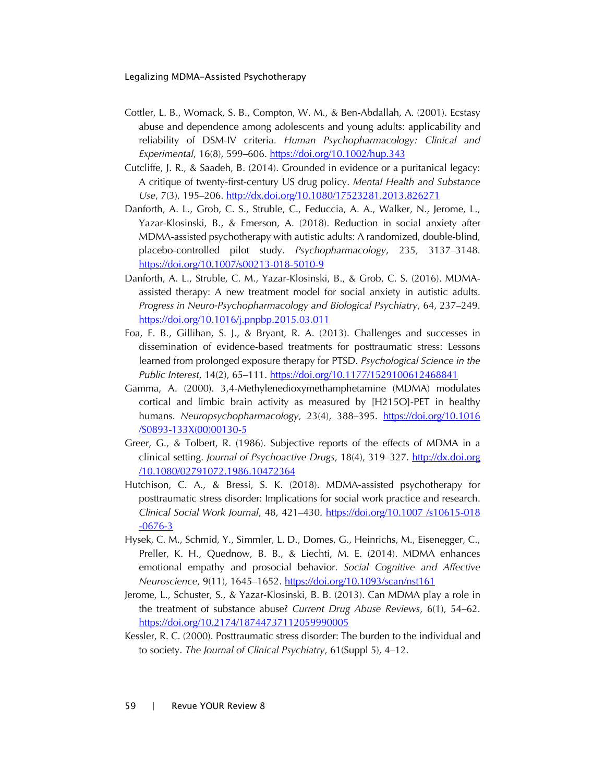- Cottler, L. B., Womack, S. B., Compton, W. M., & Ben-Abdallah, A. (2001). Ecstasy abuse and dependence among adolescents and young adults: applicability and reliability of DSM-IV criteria. *Human Psychopharmacology: Clinical and Experimental*, 16(8), 599–606.<https://doi.org/10.1002/hup.343>
- Cutcliffe, J. R., & Saadeh, B. (2014). Grounded in evidence or a puritanical legacy: A critique of twenty-first-century US drug policy. *Mental Health and Substance Use*, 7(3), 195–206.<http://dx.doi.org/10.1080/17523281.2013.826271>
- Danforth, A. L., Grob, C. S., Struble, C., Feduccia, A. A., Walker, N., Jerome, L., Yazar-Klosinski, B., & Emerson, A. (2018). Reduction in social anxiety after MDMA-assisted psychotherapy with autistic adults: A randomized, double-blind, placebo-controlled pilot study. *Psychopharmacology*, 235, 3137–3148. <https://doi.org/10.1007/s00213-018-5010-9>
- Danforth, A. L., Struble, C. M., Yazar-Klosinski, B., & Grob, C. S. (2016). MDMAassisted therapy: A new treatment model for social anxiety in autistic adults. *Progress in Neuro-Psychopharmacology and Biological Psychiatry*, 64, 237–249. <https://doi.org/10.1016/j.pnpbp.2015.03.011>
- Foa, E. B., Gillihan, S. J., & Bryant, R. A. (2013). Challenges and successes in dissemination of evidence-based treatments for posttraumatic stress: Lessons learned from prolonged exposure therapy for PTSD. *Psychological Science in the Public Interest*, 14(2), 65–111.<https://doi.org/10.1177/1529100612468841>
- Gamma, A. (2000). 3,4-Methylenedioxymethamphetamine (MDMA) modulates cortical and limbic brain activity as measured by [H215O]-PET in healthy humans. *Neuropsychopharmacology*, 23(4), 388–395. [https://doi.org/10.1016](https://www.nature.com/articles/1395538) [/S0893-133X\(00\)00130-5](https://www.nature.com/articles/1395538)
- Greer, G., & Tolbert, R. (1986). Subjective reports of the effects of MDMA in a clinical setting. *Journal of Psychoactive Drugs*, 18(4), 319–327. [http://dx.doi.org](http://dx.doi.org/10.1080/02791072.1986.10472364) [/10.1080/02791072.1986.10472364](http://dx.doi.org/10.1080/02791072.1986.10472364)
- Hutchison, C. A., & Bressi, S. K. (2018). MDMA-assisted psychotherapy for posttraumatic stress disorder: Implications for social work practice and research. *Clinical Social Work Journal*, 48, 421–430. [https://doi.org/10.1007 /s10615-018](https://doi.org/10.1007/s10615-018-0676-3) [-0676-3](https://doi.org/10.1007/s10615-018-0676-3)
- Hysek, C. M., Schmid, Y., Simmler, L. D., Domes, G., Heinrichs, M., Eisenegger, C., Preller, K. H., Quednow, B. B., & Liechti, M. E. (2014). MDMA enhances emotional empathy and prosocial behavior. *Social Cognitive and Affective Neuroscience*, 9(11), 1645–1652.<https://doi.org/10.1093/scan/nst161>
- Jerome, L., Schuster, S., & Yazar-Klosinski, B. B. (2013). Can MDMA play a role in the treatment of substance abuse? *Current Drug Abuse Reviews*, 6(1), 54–62. <https://doi.org/10.2174/18744737112059990005>
- Kessler, R. C. (2000). Posttraumatic stress disorder: The burden to the individual and to society. *The Journal of Clinical Psychiatry*, 61(Suppl 5), 4–12.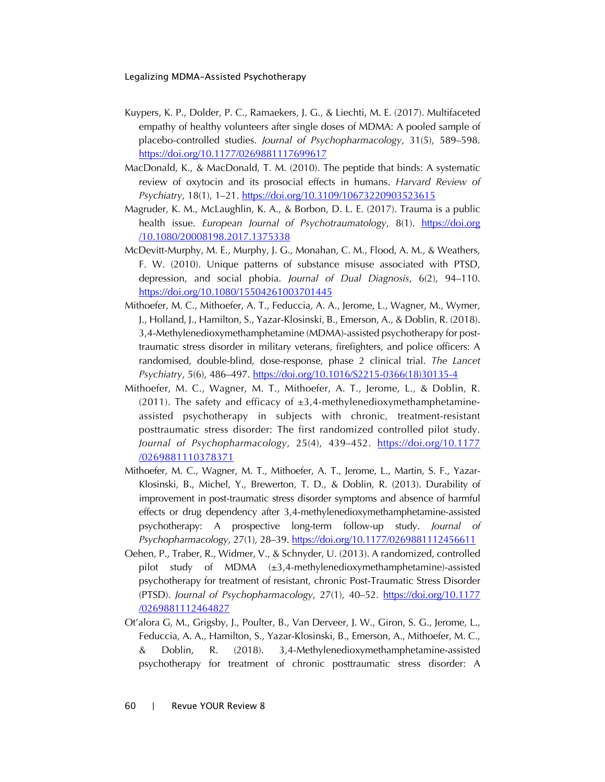- Kuypers, K. P., Dolder, P. C., Ramaekers, J. G., & Liechti, M. E. (2017). Multifaceted empathy of healthy volunteers after single doses of MDMA: A pooled sample of placebo-controlled studies. *Journal of Psychopharmacology*, 31(5), 589–598. <https://doi.org/10.1177/0269881117699617>
- MacDonald, K., & MacDonald, T. M. (2010). The peptide that binds: A systematic review of oxytocin and its prosocial effects in humans. *Harvard Review of Psychiatry*, 18(1), 1–21.<https://doi.org/10.3109/10673220903523615>
- Magruder, K. M., McLaughlin, K. A., & Borbon, D. L. E. (2017). Trauma is a public health issue. *European Journal of Psychotraumatology*, 8(1). https://doi.org [/10.1080/20008198.2017.1375338](https://doi.org/10.1080/20008198.2017.1375338)
- McDevitt-Murphy, M. E., Murphy, J. G., Monahan, C. M., Flood, A. M., & Weathers, F. W. (2010). Unique patterns of substance misuse associated with PTSD, depression, and social phobia. *Journal of Dual Diagnosis*, 6(2), 94–110. <https://doi.org/10.1080/15504261003701445>
- Mithoefer, M. C., Mithoefer, A. T., Feduccia, A. A., Jerome, L., Wagner, M., Wymer, J., Holland, J., Hamilton, S., Yazar-Klosinski, B., Emerson, A., & Doblin, R. (2018). 3,4-Methylenedioxymethamphetamine (MDMA)-assisted psychotherapy for posttraumatic stress disorder in military veterans, firefighters, and police officers: A randomised, double-blind, dose-response, phase 2 clinical trial. *The Lancet Psychiatry*, 5(6), 486–497. [https://doi.org/10.1016/S2215-0366\(18\)30135-4](https://doi.org/10.1016/S2215-0366(18)30135-4)
- Mithoefer, M. C., Wagner, M. T., Mithoefer, A. T., Jerome, L., & Doblin, R. (2011). The safety and efficacy of  $\pm 3.4$ -methylenedioxymethamphetamineassisted psychotherapy in subjects with chronic, treatment-resistant posttraumatic stress disorder: The first randomized controlled pilot study. *Journal of Psychopharmacology*, 25(4), 439–452. [https://doi.org/10.1177](https://doi.org/10.1177/0269881110378371) [/0269881110378371](https://doi.org/10.1177/0269881110378371)
- Mithoefer, M. C., Wagner, M. T., Mithoefer, A. T., Jerome, L., Martin, S. F., Yazar-Klosinski, B., Michel, Y., Brewerton, T. D., & Doblin, R. (2013). Durability of improvement in post-traumatic stress disorder symptoms and absence of harmful effects or drug dependency after 3,4-methylenedioxymethamphetamine-assisted psychotherapy: A prospective long-term follow-up study. *Journal of Psychopharmacology*, 27(1), 28–39.<https://doi.org/10.1177/0269881112456611>
- Oehen, P., Traber, R., Widmer, V., & Schnyder, U. (2013). A randomized, controlled pilot study of MDMA (±3,4-methylenedioxymethamphetamine)-assisted psychotherapy for treatment of resistant, chronic Post-Traumatic Stress Disorder (PTSD). *Journal of Psychopharmacology*, 27(1), 40–52. [https://doi.org/10.1177](https://doi.org/10.1177/0269881112464827) [/0269881112464827](https://doi.org/10.1177/0269881112464827)
- Ot'alora G, M., Grigsby, J., Poulter, B., Van Derveer, J. W., Giron, S. G., Jerome, L., Feduccia, A. A., Hamilton, S., Yazar-Klosinski, B., Emerson, A., Mithoefer, M. C., & Doblin, R. (2018). 3,4-Methylenedioxymethamphetamine-assisted psychotherapy for treatment of chronic posttraumatic stress disorder: A